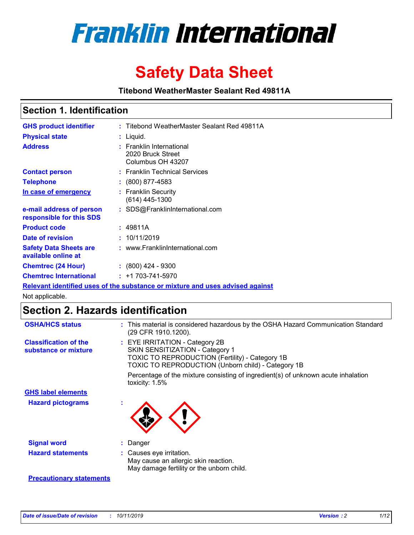

# **Safety Data Sheet**

**Titebond WeatherMaster Sealant Red 49811A**

### **Section 1. Identification**

| <b>GHS product identifier</b>                        | : Titebond WeatherMaster Sealant Red 49811A                                   |
|------------------------------------------------------|-------------------------------------------------------------------------------|
| <b>Physical state</b>                                | : Liquid.                                                                     |
| <b>Address</b>                                       | : Franklin International<br>2020 Bruck Street<br>Columbus OH 43207            |
| <b>Contact person</b>                                | : Franklin Technical Services                                                 |
| <b>Telephone</b>                                     | $\div$ (800) 877-4583                                                         |
| In case of emergency                                 | : Franklin Security<br>(614) 445-1300                                         |
| e-mail address of person<br>responsible for this SDS | : SDS@FranklinInternational.com                                               |
| <b>Product code</b>                                  | : 49811A                                                                      |
| Date of revision                                     | : 10/11/2019                                                                  |
| <b>Safety Data Sheets are</b><br>available online at | : www.FranklinInternational.com                                               |
| <b>Chemtrec (24 Hour)</b>                            | $\div$ (800) 424 - 9300                                                       |
| <b>Chemtrec International</b>                        | $: +1703 - 741 - 5970$                                                        |
|                                                      | Relevant identified uses of the substance or mixture and uses advised against |

Not applicable.

## **Section 2. Hazards identification**

| <b>OSHA/HCS status</b>                               | : This material is considered hazardous by the OSHA Hazard Communication Standard<br>(29 CFR 1910.1200).                                                                          |
|------------------------------------------------------|-----------------------------------------------------------------------------------------------------------------------------------------------------------------------------------|
| <b>Classification of the</b><br>substance or mixture | : EYE IRRITATION - Category 2B<br>SKIN SENSITIZATION - Category 1<br><b>TOXIC TO REPRODUCTION (Fertility) - Category 1B</b><br>TOXIC TO REPRODUCTION (Unborn child) - Category 1B |
|                                                      | Percentage of the mixture consisting of ingredient(s) of unknown acute inhalation<br>toxicity: $1.5\%$                                                                            |
| <b>GHS label elements</b>                            |                                                                                                                                                                                   |
| <b>Hazard pictograms</b>                             |                                                                                                                                                                                   |
| <b>Signal word</b>                                   | : Danger                                                                                                                                                                          |
| <b>Hazard statements</b>                             | : Causes eye irritation.<br>May cause an allergic skin reaction.<br>May damage fertility or the unborn child.                                                                     |
| <b>Precautionary statements</b>                      |                                                                                                                                                                                   |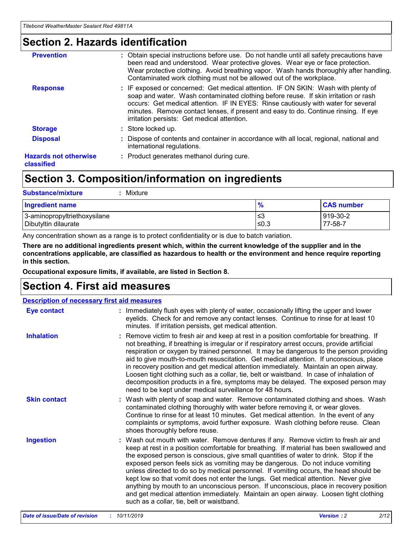### **Section 2. Hazards identification**

| <b>Prevention</b>                          | : Obtain special instructions before use. Do not handle until all safety precautions have<br>been read and understood. Wear protective gloves. Wear eye or face protection.<br>Wear protective clothing. Avoid breathing vapor. Wash hands thoroughly after handling.<br>Contaminated work clothing must not be allowed out of the workplace.                                                        |
|--------------------------------------------|------------------------------------------------------------------------------------------------------------------------------------------------------------------------------------------------------------------------------------------------------------------------------------------------------------------------------------------------------------------------------------------------------|
| <b>Response</b>                            | : IF exposed or concerned: Get medical attention. IF ON SKIN: Wash with plenty of<br>soap and water. Wash contaminated clothing before reuse. If skin irritation or rash<br>occurs: Get medical attention. IF IN EYES: Rinse cautiously with water for several<br>minutes. Remove contact lenses, if present and easy to do. Continue rinsing. If eye<br>irritation persists: Get medical attention. |
| <b>Storage</b>                             | : Store locked up.                                                                                                                                                                                                                                                                                                                                                                                   |
| <b>Disposal</b>                            | : Dispose of contents and container in accordance with all local, regional, national and<br>international regulations.                                                                                                                                                                                                                                                                               |
| <b>Hazards not otherwise</b><br>classified | : Product generates methanol during cure.                                                                                                                                                                                                                                                                                                                                                            |
|                                            |                                                                                                                                                                                                                                                                                                                                                                                                      |

### **Section 3. Composition/information on ingredients**

| <b>Substance/mixture</b><br>Mixture                  |               |                     |
|------------------------------------------------------|---------------|---------------------|
| <b>Ingredient name</b>                               | $\frac{9}{6}$ | <b>CAS number</b>   |
| 3-aminopropyltriethoxysilane<br>Dibutyltin dilaurate | ≤3<br>$≤0.3$  | 919-30-2<br>77-58-7 |

Any concentration shown as a range is to protect confidentiality or is due to batch variation.

**There are no additional ingredients present which, within the current knowledge of the supplier and in the concentrations applicable, are classified as hazardous to health or the environment and hence require reporting in this section.**

**Occupational exposure limits, if available, are listed in Section 8.**

### **Section 4. First aid measures**

| <b>Description of necessary first aid measures</b> |                                                                                                                                                                                                                                                                                                                                                                                                                                                                                                                                                                                                                                                                                                                                                                           |  |  |  |
|----------------------------------------------------|---------------------------------------------------------------------------------------------------------------------------------------------------------------------------------------------------------------------------------------------------------------------------------------------------------------------------------------------------------------------------------------------------------------------------------------------------------------------------------------------------------------------------------------------------------------------------------------------------------------------------------------------------------------------------------------------------------------------------------------------------------------------------|--|--|--|
| <b>Eye contact</b>                                 | : Immediately flush eyes with plenty of water, occasionally lifting the upper and lower<br>eyelids. Check for and remove any contact lenses. Continue to rinse for at least 10<br>minutes. If irritation persists, get medical attention.                                                                                                                                                                                                                                                                                                                                                                                                                                                                                                                                 |  |  |  |
| <b>Inhalation</b>                                  | : Remove victim to fresh air and keep at rest in a position comfortable for breathing. If<br>not breathing, if breathing is irregular or if respiratory arrest occurs, provide artificial<br>respiration or oxygen by trained personnel. It may be dangerous to the person providing<br>aid to give mouth-to-mouth resuscitation. Get medical attention. If unconscious, place<br>in recovery position and get medical attention immediately. Maintain an open airway.<br>Loosen tight clothing such as a collar, tie, belt or waistband. In case of inhalation of<br>decomposition products in a fire, symptoms may be delayed. The exposed person may<br>need to be kept under medical surveillance for 48 hours.                                                       |  |  |  |
| <b>Skin contact</b>                                | : Wash with plenty of soap and water. Remove contaminated clothing and shoes. Wash<br>contaminated clothing thoroughly with water before removing it, or wear gloves.<br>Continue to rinse for at least 10 minutes. Get medical attention. In the event of any<br>complaints or symptoms, avoid further exposure. Wash clothing before reuse. Clean<br>shoes thoroughly before reuse.                                                                                                                                                                                                                                                                                                                                                                                     |  |  |  |
| <b>Ingestion</b>                                   | : Wash out mouth with water. Remove dentures if any. Remove victim to fresh air and<br>keep at rest in a position comfortable for breathing. If material has been swallowed and<br>the exposed person is conscious, give small quantities of water to drink. Stop if the<br>exposed person feels sick as vomiting may be dangerous. Do not induce vomiting<br>unless directed to do so by medical personnel. If vomiting occurs, the head should be<br>kept low so that vomit does not enter the lungs. Get medical attention. Never give<br>anything by mouth to an unconscious person. If unconscious, place in recovery position<br>and get medical attention immediately. Maintain an open airway. Loosen tight clothing<br>such as a collar, tie, belt or waistband. |  |  |  |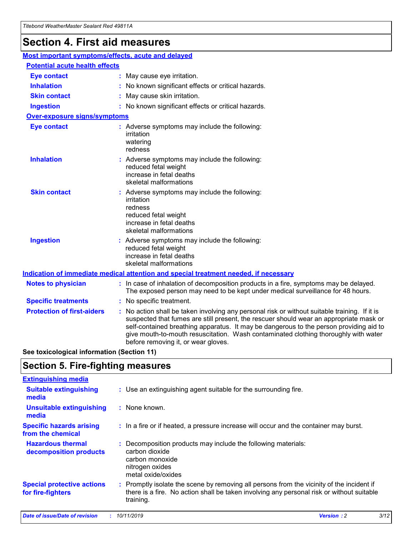## **Section 4. First aid measures**

| Most important symptoms/effects, acute and delayed |  |                                                                                                                                                                                                                                                                                                                                                                                                                 |  |
|----------------------------------------------------|--|-----------------------------------------------------------------------------------------------------------------------------------------------------------------------------------------------------------------------------------------------------------------------------------------------------------------------------------------------------------------------------------------------------------------|--|
| <b>Potential acute health effects</b>              |  |                                                                                                                                                                                                                                                                                                                                                                                                                 |  |
| <b>Eye contact</b>                                 |  | : May cause eye irritation.                                                                                                                                                                                                                                                                                                                                                                                     |  |
| <b>Inhalation</b>                                  |  | : No known significant effects or critical hazards.                                                                                                                                                                                                                                                                                                                                                             |  |
| <b>Skin contact</b>                                |  | : May cause skin irritation.                                                                                                                                                                                                                                                                                                                                                                                    |  |
| <b>Ingestion</b>                                   |  | : No known significant effects or critical hazards.                                                                                                                                                                                                                                                                                                                                                             |  |
| Over-exposure signs/symptoms                       |  |                                                                                                                                                                                                                                                                                                                                                                                                                 |  |
| <b>Eye contact</b>                                 |  | : Adverse symptoms may include the following:<br>irritation<br>watering<br>redness                                                                                                                                                                                                                                                                                                                              |  |
| <b>Inhalation</b>                                  |  | : Adverse symptoms may include the following:<br>reduced fetal weight<br>increase in fetal deaths<br>skeletal malformations                                                                                                                                                                                                                                                                                     |  |
| <b>Skin contact</b>                                |  | : Adverse symptoms may include the following:<br>irritation<br>redness<br>reduced fetal weight<br>increase in fetal deaths<br>skeletal malformations                                                                                                                                                                                                                                                            |  |
| <b>Ingestion</b>                                   |  | : Adverse symptoms may include the following:<br>reduced fetal weight<br>increase in fetal deaths<br>skeletal malformations                                                                                                                                                                                                                                                                                     |  |
|                                                    |  | <b>Indication of immediate medical attention and special treatment needed, if necessary</b>                                                                                                                                                                                                                                                                                                                     |  |
| <b>Notes to physician</b>                          |  | : In case of inhalation of decomposition products in a fire, symptoms may be delayed.<br>The exposed person may need to be kept under medical surveillance for 48 hours.                                                                                                                                                                                                                                        |  |
| <b>Specific treatments</b>                         |  | : No specific treatment.                                                                                                                                                                                                                                                                                                                                                                                        |  |
| <b>Protection of first-aiders</b>                  |  | : No action shall be taken involving any personal risk or without suitable training. If it is<br>suspected that fumes are still present, the rescuer should wear an appropriate mask or<br>self-contained breathing apparatus. It may be dangerous to the person providing aid to<br>give mouth-to-mouth resuscitation. Wash contaminated clothing thoroughly with water<br>before removing it, or wear gloves. |  |

**See toxicological information (Section 11)**

### **Section 5. Fire-fighting measures**

| <b>Extinguishing media</b>                             |                                                                                                                                                                                                     |
|--------------------------------------------------------|-----------------------------------------------------------------------------------------------------------------------------------------------------------------------------------------------------|
| <b>Suitable extinguishing</b><br>media                 | : Use an extinguishing agent suitable for the surrounding fire.                                                                                                                                     |
| <b>Unsuitable extinguishing</b><br>media               | $:$ None known.                                                                                                                                                                                     |
| <b>Specific hazards arising</b><br>from the chemical   | : In a fire or if heated, a pressure increase will occur and the container may burst.                                                                                                               |
| <b>Hazardous thermal</b><br>decomposition products     | : Decomposition products may include the following materials:<br>carbon dioxide<br>carbon monoxide<br>nitrogen oxides<br>metal oxide/oxides                                                         |
| <b>Special protective actions</b><br>for fire-fighters | : Promptly isolate the scene by removing all persons from the vicinity of the incident if<br>there is a fire. No action shall be taken involving any personal risk or without suitable<br>training. |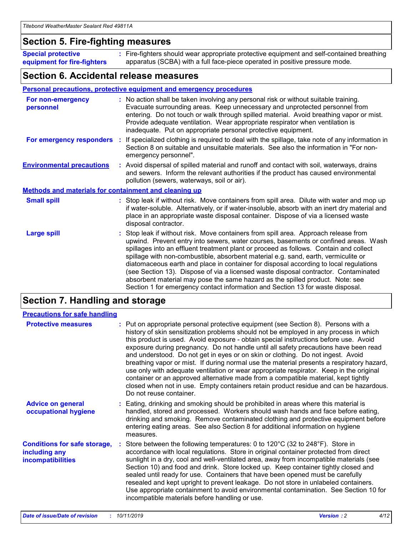### **Section 5. Fire-fighting measures**

**Special protective equipment for fire-fighters** Fire-fighters should wear appropriate protective equipment and self-contained breathing **:** apparatus (SCBA) with a full face-piece operated in positive pressure mode.

### **Section 6. Accidental release measures**

#### **Personal precautions, protective equipment and emergency procedures**

| For non-emergency<br>personnel                               | : No action shall be taken involving any personal risk or without suitable training.<br>Evacuate surrounding areas. Keep unnecessary and unprotected personnel from<br>entering. Do not touch or walk through spilled material. Avoid breathing vapor or mist.<br>Provide adequate ventilation. Wear appropriate respirator when ventilation is<br>inadequate. Put on appropriate personal protective equipment.                                                                                                                                                                                                                                                                                             |
|--------------------------------------------------------------|--------------------------------------------------------------------------------------------------------------------------------------------------------------------------------------------------------------------------------------------------------------------------------------------------------------------------------------------------------------------------------------------------------------------------------------------------------------------------------------------------------------------------------------------------------------------------------------------------------------------------------------------------------------------------------------------------------------|
|                                                              | For emergency responders : If specialized clothing is required to deal with the spillage, take note of any information in<br>Section 8 on suitable and unsuitable materials. See also the information in "For non-<br>emergency personnel".                                                                                                                                                                                                                                                                                                                                                                                                                                                                  |
| <b>Environmental precautions</b>                             | : Avoid dispersal of spilled material and runoff and contact with soil, waterways, drains<br>and sewers. Inform the relevant authorities if the product has caused environmental<br>pollution (sewers, waterways, soil or air).                                                                                                                                                                                                                                                                                                                                                                                                                                                                              |
| <b>Methods and materials for containment and cleaning up</b> |                                                                                                                                                                                                                                                                                                                                                                                                                                                                                                                                                                                                                                                                                                              |
| <b>Small spill</b>                                           | : Stop leak if without risk. Move containers from spill area. Dilute with water and mop up<br>if water-soluble. Alternatively, or if water-insoluble, absorb with an inert dry material and<br>place in an appropriate waste disposal container. Dispose of via a licensed waste<br>disposal contractor.                                                                                                                                                                                                                                                                                                                                                                                                     |
| <b>Large spill</b>                                           | : Stop leak if without risk. Move containers from spill area. Approach release from<br>upwind. Prevent entry into sewers, water courses, basements or confined areas. Wash<br>spillages into an effluent treatment plant or proceed as follows. Contain and collect<br>spillage with non-combustible, absorbent material e.g. sand, earth, vermiculite or<br>diatomaceous earth and place in container for disposal according to local regulations<br>(see Section 13). Dispose of via a licensed waste disposal contractor. Contaminated<br>absorbent material may pose the same hazard as the spilled product. Note: see<br>Section 1 for emergency contact information and Section 13 for waste disposal. |

### **Section 7. Handling and storage**

| <b>Precautions for safe handling</b>                                             |  |                                                                                                                                                                                                                                                                                                                                                                                                                                                                                                                                                                                                                                                                                                                                                                                                                                                  |  |  |
|----------------------------------------------------------------------------------|--|--------------------------------------------------------------------------------------------------------------------------------------------------------------------------------------------------------------------------------------------------------------------------------------------------------------------------------------------------------------------------------------------------------------------------------------------------------------------------------------------------------------------------------------------------------------------------------------------------------------------------------------------------------------------------------------------------------------------------------------------------------------------------------------------------------------------------------------------------|--|--|
| <b>Protective measures</b>                                                       |  | : Put on appropriate personal protective equipment (see Section 8). Persons with a<br>history of skin sensitization problems should not be employed in any process in which<br>this product is used. Avoid exposure - obtain special instructions before use. Avoid<br>exposure during pregnancy. Do not handle until all safety precautions have been read<br>and understood. Do not get in eyes or on skin or clothing. Do not ingest. Avoid<br>breathing vapor or mist. If during normal use the material presents a respiratory hazard,<br>use only with adequate ventilation or wear appropriate respirator. Keep in the original<br>container or an approved alternative made from a compatible material, kept tightly<br>closed when not in use. Empty containers retain product residue and can be hazardous.<br>Do not reuse container. |  |  |
| <b>Advice on general</b><br>occupational hygiene                                 |  | : Eating, drinking and smoking should be prohibited in areas where this material is<br>handled, stored and processed. Workers should wash hands and face before eating,<br>drinking and smoking. Remove contaminated clothing and protective equipment before<br>entering eating areas. See also Section 8 for additional information on hygiene<br>measures.                                                                                                                                                                                                                                                                                                                                                                                                                                                                                    |  |  |
| <b>Conditions for safe storage,</b><br>including any<br><b>incompatibilities</b> |  | Store between the following temperatures: 0 to 120 $\degree$ C (32 to 248 $\degree$ F). Store in<br>accordance with local regulations. Store in original container protected from direct<br>sunlight in a dry, cool and well-ventilated area, away from incompatible materials (see<br>Section 10) and food and drink. Store locked up. Keep container tightly closed and<br>sealed until ready for use. Containers that have been opened must be carefully<br>resealed and kept upright to prevent leakage. Do not store in unlabeled containers.<br>Use appropriate containment to avoid environmental contamination. See Section 10 for<br>incompatible materials before handling or use.                                                                                                                                                     |  |  |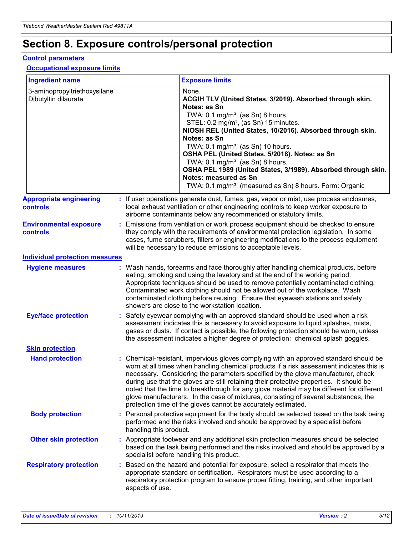## **Section 8. Exposure controls/personal protection**

#### **Control parameters**

#### **Occupational exposure limits**

| <b>Ingredient name</b>                               |    |                        | <b>Exposure limits</b>                                                                                                                                                                                                                                                                                                                                                                                                                                                                                                                                                                                                 |
|------------------------------------------------------|----|------------------------|------------------------------------------------------------------------------------------------------------------------------------------------------------------------------------------------------------------------------------------------------------------------------------------------------------------------------------------------------------------------------------------------------------------------------------------------------------------------------------------------------------------------------------------------------------------------------------------------------------------------|
| 3-aminopropyltriethoxysilane<br>Dibutyltin dilaurate |    |                        | None.<br>ACGIH TLV (United States, 3/2019). Absorbed through skin.<br>Notes: as Sn<br>TWA: $0.1 \text{ mg/m}^3$ , (as Sn) 8 hours.<br>STEL: 0.2 mg/m <sup>3</sup> , (as Sn) 15 minutes.<br>NIOSH REL (United States, 10/2016). Absorbed through skin.<br>Notes: as Sn<br>TWA: 0.1 mg/m <sup>3</sup> , (as Sn) 10 hours.<br>OSHA PEL (United States, 5/2018). Notes: as Sn<br>TWA: $0.1 \text{ mg/m}^3$ , (as Sn) 8 hours.<br>OSHA PEL 1989 (United States, 3/1989). Absorbed through skin.<br>Notes: measured as Sn<br>TWA: 0.1 mg/m <sup>3</sup> , (measured as Sn) 8 hours. Form: Organic                            |
| <b>Appropriate engineering</b><br>controls           |    |                        | : If user operations generate dust, fumes, gas, vapor or mist, use process enclosures,<br>local exhaust ventilation or other engineering controls to keep worker exposure to<br>airborne contaminants below any recommended or statutory limits.                                                                                                                                                                                                                                                                                                                                                                       |
| <b>Environmental exposure</b><br>controls            |    |                        | Emissions from ventilation or work process equipment should be checked to ensure<br>they comply with the requirements of environmental protection legislation. In some<br>cases, fume scrubbers, filters or engineering modifications to the process equipment<br>will be necessary to reduce emissions to acceptable levels.                                                                                                                                                                                                                                                                                          |
| <b>Individual protection measures</b>                |    |                        |                                                                                                                                                                                                                                                                                                                                                                                                                                                                                                                                                                                                                        |
| <b>Hygiene measures</b>                              |    |                        | : Wash hands, forearms and face thoroughly after handling chemical products, before<br>eating, smoking and using the lavatory and at the end of the working period.<br>Appropriate techniques should be used to remove potentially contaminated clothing.<br>Contaminated work clothing should not be allowed out of the workplace. Wash<br>contaminated clothing before reusing. Ensure that eyewash stations and safety<br>showers are close to the workstation location.                                                                                                                                            |
| <b>Eye/face protection</b>                           |    |                        | : Safety eyewear complying with an approved standard should be used when a risk<br>assessment indicates this is necessary to avoid exposure to liquid splashes, mists,<br>gases or dusts. If contact is possible, the following protection should be worn, unless<br>the assessment indicates a higher degree of protection: chemical splash goggles.                                                                                                                                                                                                                                                                  |
| <b>Skin protection</b>                               |    |                        |                                                                                                                                                                                                                                                                                                                                                                                                                                                                                                                                                                                                                        |
| <b>Hand protection</b>                               |    |                        | : Chemical-resistant, impervious gloves complying with an approved standard should be<br>worn at all times when handling chemical products if a risk assessment indicates this is<br>necessary. Considering the parameters specified by the glove manufacturer, check<br>during use that the gloves are still retaining their protective properties. It should be<br>noted that the time to breakthrough for any glove material may be different for different<br>glove manufacturers. In the case of mixtures, consisting of several substances, the<br>protection time of the gloves cannot be accurately estimated. |
| <b>Body protection</b>                               |    | handling this product. | Personal protective equipment for the body should be selected based on the task being<br>performed and the risks involved and should be approved by a specialist before                                                                                                                                                                                                                                                                                                                                                                                                                                                |
| <b>Other skin protection</b>                         |    |                        | : Appropriate footwear and any additional skin protection measures should be selected<br>based on the task being performed and the risks involved and should be approved by a<br>specialist before handling this product.                                                                                                                                                                                                                                                                                                                                                                                              |
| <b>Respiratory protection</b>                        | ÷. | aspects of use.        | Based on the hazard and potential for exposure, select a respirator that meets the<br>appropriate standard or certification. Respirators must be used according to a<br>respiratory protection program to ensure proper fitting, training, and other important                                                                                                                                                                                                                                                                                                                                                         |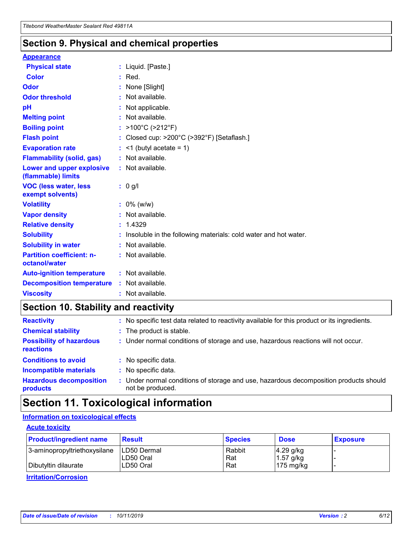### **Section 9. Physical and chemical properties**

#### **Appearance**

| <b>Physical state</b>                             | : Liquid. [Paste.]                                              |
|---------------------------------------------------|-----------------------------------------------------------------|
| Color                                             | $:$ Red.                                                        |
| Odor                                              | : None [Slight]                                                 |
| <b>Odor threshold</b>                             | : Not available.                                                |
| рH                                                | : Not applicable.                                               |
| <b>Melting point</b>                              | : Not available.                                                |
| <b>Boiling point</b>                              | : >100°C (>212°F)                                               |
| <b>Flash point</b>                                | : Closed cup: $>200^{\circ}$ C ( $>392^{\circ}$ F) [Setaflash.] |
| <b>Evaporation rate</b>                           | $:$ <1 (butyl acetate = 1)                                      |
| <b>Flammability (solid, gas)</b>                  | : Not available.                                                |
| Lower and upper explosive<br>(flammable) limits   | : Not available.                                                |
| <b>VOC (less water, less</b><br>exempt solvents)  | : 0 g/l                                                         |
| <b>Volatility</b>                                 | $: 0\%$ (w/w)                                                   |
| <b>Vapor density</b>                              | : Not available.                                                |
| <b>Relative density</b>                           | : 1.4329                                                        |
| <b>Solubility</b>                                 | Insoluble in the following materials: cold water and hot water. |
| <b>Solubility in water</b>                        | : Not available.                                                |
| <b>Partition coefficient: n-</b><br>octanol/water | $:$ Not available.                                              |
| <b>Auto-ignition temperature</b>                  | : Not available.                                                |
| <b>Decomposition temperature</b>                  | : Not available.                                                |
|                                                   |                                                                 |

### **Section 10. Stability and reactivity**

| <b>Reactivity</b>                            | : No specific test data related to reactivity available for this product or its ingredients.            |
|----------------------------------------------|---------------------------------------------------------------------------------------------------------|
| <b>Chemical stability</b>                    | : The product is stable.                                                                                |
| <b>Possibility of hazardous</b><br>reactions | : Under normal conditions of storage and use, hazardous reactions will not occur.                       |
| <b>Conditions to avoid</b>                   | : No specific data.                                                                                     |
| <b>Incompatible materials</b>                | : No specific data.                                                                                     |
| <b>Hazardous decomposition</b><br>products   | Under normal conditions of storage and use, hazardous decomposition products should<br>not be produced. |

### **Section 11. Toxicological information**

#### **Information on toxicological effects**

#### **Acute toxicity**

| <b>Product/ingredient name</b> | <b>Result</b>           | <b>Species</b> | <b>Dose</b>                | <b>Exposure</b> |
|--------------------------------|-------------------------|----------------|----------------------------|-----------------|
| 3-aminopropyltriethoxysilane   | <b>ILD50 Dermal</b>     | Rabbit         | 4.29 g/kg                  |                 |
| Dibutyltin dilaurate           | ILD50 Oral<br>LD50 Oral | Rat<br>Rat     | $1.57$ g/kg<br>175 $mg/kg$ |                 |
|                                |                         |                |                            |                 |

**Irritation/Corrosion**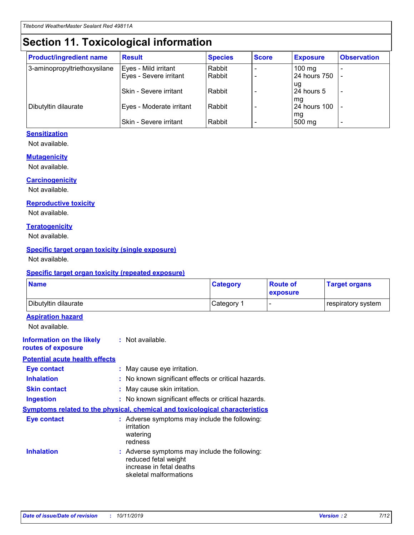## **Section 11. Toxicological information**

| <b>Product/ingredient name</b> | <b>Result</b>            | <b>Species</b> | <b>Score</b> | <b>Exposure</b>           | <b>Observation</b> |
|--------------------------------|--------------------------|----------------|--------------|---------------------------|--------------------|
| 3-aminopropyltriethoxysilane   | Eyes - Mild irritant     | Rabbit         |              | $100$ mg                  |                    |
|                                | Eyes - Severe irritant   | Rabbit         |              | 24 hours 750              |                    |
|                                |                          |                |              | ug                        |                    |
|                                | Skin - Severe irritant   | Rabbit         |              | 24 hours 5                | -                  |
| Dibutyltin dilaurate           | Eyes - Moderate irritant | Rabbit         |              | mq<br><b>24 hours 100</b> |                    |
|                                |                          |                |              | mg                        |                    |
|                                | Skin - Severe irritant   | Rabbit         |              | 500 mg                    |                    |

#### **Sensitization**

Not available.

#### **Mutagenicity**

Not available.

#### **Carcinogenicity**

Not available.

#### **Reproductive toxicity**

Not available.

#### **Teratogenicity**

Not available.

#### **Specific target organ toxicity (single exposure)**

Not available.

#### **Specific target organ toxicity (repeated exposure)**

| <b>Name</b>                                                                  |                                                                                                                             | <b>Category</b> | <b>Route of</b><br>exposure  | <b>Target organs</b> |
|------------------------------------------------------------------------------|-----------------------------------------------------------------------------------------------------------------------------|-----------------|------------------------------|----------------------|
| Dibutyltin dilaurate                                                         |                                                                                                                             | Category 1      | $\qquad \qquad \blacksquare$ | respiratory system   |
| <b>Aspiration hazard</b><br>Not available.                                   |                                                                                                                             |                 |                              |                      |
| <b>Information on the likely</b><br>routes of exposure                       | : Not available.                                                                                                            |                 |                              |                      |
| <b>Potential acute health effects</b>                                        |                                                                                                                             |                 |                              |                      |
| <b>Eye contact</b>                                                           | : May cause eye irritation.                                                                                                 |                 |                              |                      |
| <b>Inhalation</b>                                                            | : No known significant effects or critical hazards.                                                                         |                 |                              |                      |
| <b>Skin contact</b>                                                          | : May cause skin irritation.                                                                                                |                 |                              |                      |
| <b>Ingestion</b>                                                             | : No known significant effects or critical hazards.                                                                         |                 |                              |                      |
| Symptoms related to the physical, chemical and toxicological characteristics |                                                                                                                             |                 |                              |                      |
| <b>Eye contact</b>                                                           | : Adverse symptoms may include the following:<br>irritation<br>watering<br>redness                                          |                 |                              |                      |
| <b>Inhalation</b>                                                            | : Adverse symptoms may include the following:<br>reduced fetal weight<br>increase in fetal deaths<br>skeletal malformations |                 |                              |                      |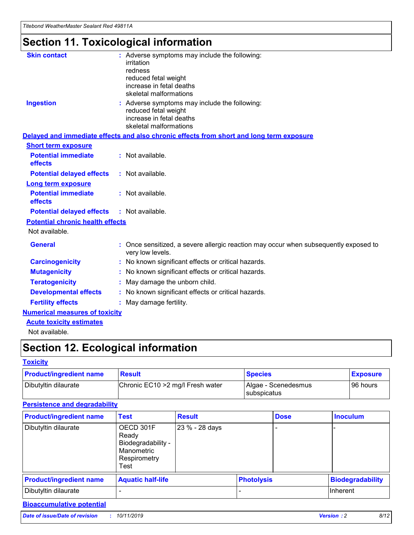## **Section 11. Toxicological information**

| <b>Skin contact</b>                     |                                                                                                          |
|-----------------------------------------|----------------------------------------------------------------------------------------------------------|
|                                         | : Adverse symptoms may include the following:<br>irritation                                              |
|                                         | redness                                                                                                  |
|                                         | reduced fetal weight                                                                                     |
|                                         | increase in fetal deaths                                                                                 |
|                                         | skeletal malformations                                                                                   |
| <b>Ingestion</b>                        | : Adverse symptoms may include the following:                                                            |
|                                         | reduced fetal weight                                                                                     |
|                                         | increase in fetal deaths                                                                                 |
|                                         | skeletal malformations                                                                                   |
|                                         | Delayed and immediate effects and also chronic effects from short and long term exposure                 |
| <b>Short term exposure</b>              |                                                                                                          |
| <b>Potential immediate</b>              | : Not available.                                                                                         |
| effects                                 |                                                                                                          |
| <b>Potential delayed effects</b>        | : Not available.                                                                                         |
| <b>Long term exposure</b>               |                                                                                                          |
| <b>Potential immediate</b>              | : Not available.                                                                                         |
| effects                                 |                                                                                                          |
| <b>Potential delayed effects</b>        | : Not available.                                                                                         |
| <b>Potential chronic health effects</b> |                                                                                                          |
| Not available.                          |                                                                                                          |
| <b>General</b>                          | : Once sensitized, a severe allergic reaction may occur when subsequently exposed to<br>very low levels. |
| <b>Carcinogenicity</b>                  | : No known significant effects or critical hazards.                                                      |
| <b>Mutagenicity</b>                     | No known significant effects or critical hazards.                                                        |
| <b>Teratogenicity</b>                   | May damage the unborn child.                                                                             |
| <b>Developmental effects</b>            | No known significant effects or critical hazards.                                                        |
| <b>Fertility effects</b>                | : May damage fertility.                                                                                  |
| <b>Numerical measures of toxicity</b>   |                                                                                                          |
| <b>Acute toxicity estimates</b>         |                                                                                                          |
|                                         |                                                                                                          |

Not available.

## **Section 12. Ecological information**

#### **Toxicity**

| <b>Product/ingredient name</b> | <b>Result</b>                     | <b>Species</b>                       | <b>Exposure</b> |
|--------------------------------|-----------------------------------|--------------------------------------|-----------------|
| Dibutyltin dilaurate           | Chronic EC10 > 2 mg/l Fresh water | Algae - Scenedesmus<br>I subspicatus | l 96 hours i    |

#### **Persistence and degradability**

| <b>Product/ingredient name</b> | <b>Test</b>                                                                    | <b>Result</b>  |                   | <b>Dose</b> | <b>Inoculum</b>         |
|--------------------------------|--------------------------------------------------------------------------------|----------------|-------------------|-------------|-------------------------|
| Dibutyltin dilaurate           | OECD 301F<br>Ready<br>Biodegradability -<br>Manometric<br>Respirometry<br>Test | 23 % - 28 days |                   |             |                         |
| <b>Product/ingredient name</b> | <b>Aquatic half-life</b>                                                       |                | <b>Photolysis</b> |             | <b>Biodegradability</b> |
| Dibutyltin dilaurate           |                                                                                |                |                   |             | Inherent                |

### **Bioaccumulative potential**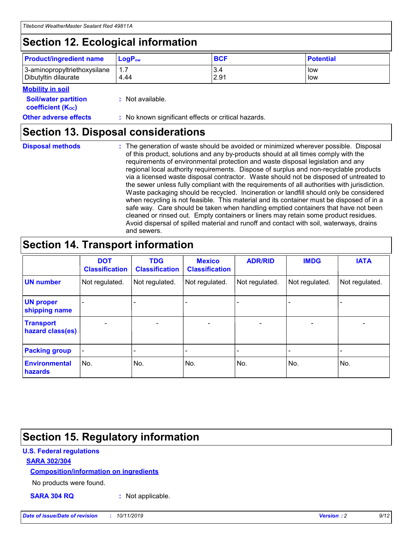## **Section 12. Ecological information**

| <b>Product/ingredient name</b> | $LoaPow$ | <b>BCF</b> | <b>Potential</b> |
|--------------------------------|----------|------------|------------------|
| 3-aminopropyltriethoxysilane   | 1.7      | 3.4        | low              |
| Dibutyltin dilaurate           | 4.44     | 2.91       | low              |

#### **Mobility in soil**

| <b>Soil/water partition</b><br>coefficient (K <sub>oc</sub> ) | : Not available.                                    |
|---------------------------------------------------------------|-----------------------------------------------------|
| <b>Other adverse effects</b>                                  | : No known significant effects or critical hazards. |

### **Section 13. Disposal considerations**

**Disposal methods :**

The generation of waste should be avoided or minimized wherever possible. Disposal of this product, solutions and any by-products should at all times comply with the requirements of environmental protection and waste disposal legislation and any regional local authority requirements. Dispose of surplus and non-recyclable products via a licensed waste disposal contractor. Waste should not be disposed of untreated to the sewer unless fully compliant with the requirements of all authorities with jurisdiction. Waste packaging should be recycled. Incineration or landfill should only be considered when recycling is not feasible. This material and its container must be disposed of in a safe way. Care should be taken when handling emptied containers that have not been cleaned or rinsed out. Empty containers or liners may retain some product residues. Avoid dispersal of spilled material and runoff and contact with soil, waterways, drains and sewers.

## **Section 14. Transport information**

|                                      | <b>DOT</b><br><b>Classification</b> | <b>TDG</b><br><b>Classification</b> | <b>Mexico</b><br><b>Classification</b> | <b>ADR/RID</b>           | <b>IMDG</b>              | <b>IATA</b>              |
|--------------------------------------|-------------------------------------|-------------------------------------|----------------------------------------|--------------------------|--------------------------|--------------------------|
| <b>UN number</b>                     | Not regulated.                      | Not regulated.                      | Not regulated.                         | Not regulated.           | Not regulated.           | Not regulated.           |
| <b>UN proper</b><br>shipping name    | $\qquad \qquad \blacksquare$        |                                     |                                        |                          |                          |                          |
| <b>Transport</b><br>hazard class(es) | $\blacksquare$                      | $\blacksquare$                      | $\blacksquare$                         | $\overline{\phantom{a}}$ | $\blacksquare$           | $\blacksquare$           |
| <b>Packing group</b>                 | $\overline{\phantom{a}}$            | $\overline{\phantom{0}}$            | $\qquad \qquad \blacksquare$           | -                        | $\overline{\phantom{0}}$ | $\overline{\phantom{a}}$ |
| <b>Environmental</b><br>hazards      | No.                                 | No.                                 | No.                                    | No.                      | No.                      | No.                      |

## **Section 15. Regulatory information**

#### **U.S. Federal regulations**

#### **SARA 302/304**

#### **Composition/information on ingredients**

No products were found.

**SARA 304 RQ :** Not applicable.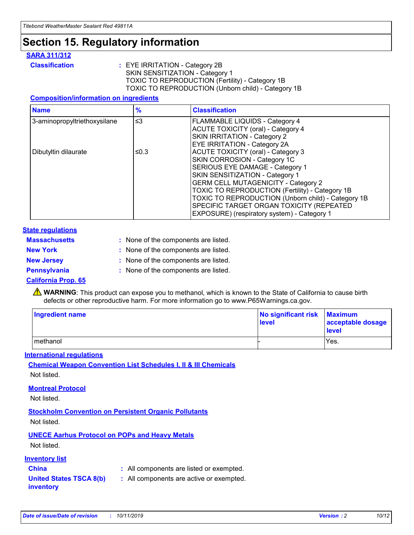## **Section 15. Regulatory information**

#### **SARA 311/312**

**Classification :** EYE IRRITATION - Category 2B SKIN SENSITIZATION - Category 1 TOXIC TO REPRODUCTION (Fertility) - Category 1B TOXIC TO REPRODUCTION (Unborn child) - Category 1B

#### **Composition/information on ingredients**

| <b>Name</b>                  | $\frac{9}{6}$ | <b>Classification</b>                                                                                                                                                                                                                                                                                                                  |
|------------------------------|---------------|----------------------------------------------------------------------------------------------------------------------------------------------------------------------------------------------------------------------------------------------------------------------------------------------------------------------------------------|
| 3-aminopropyltriethoxysilane | $\leq$ 3      | <b>FLAMMABLE LIQUIDS - Category 4</b><br><b>ACUTE TOXICITY (oral) - Category 4</b><br>SKIN IRRITATION - Category 2                                                                                                                                                                                                                     |
| Dibutyltin dilaurate         | ≤0.3          | EYE IRRITATION - Category 2A<br><b>ACUTE TOXICITY (oral) - Category 3</b><br>SKIN CORROSION - Category 1C<br>SERIOUS EYE DAMAGE - Category 1<br>SKIN SENSITIZATION - Category 1<br><b>GERM CELL MUTAGENICITY - Category 2</b><br>TOXIC TO REPRODUCTION (Fertility) - Category 1B<br>TOXIC TO REPRODUCTION (Unborn child) - Category 1B |
|                              |               | SPECIFIC TARGET ORGAN TOXICITY (REPEATED<br>EXPOSURE) (respiratory system) - Category 1                                                                                                                                                                                                                                                |

#### **State regulations**

| <b>Massachusetts</b> | : None of the components are listed. |
|----------------------|--------------------------------------|
| <b>New York</b>      | : None of the components are listed. |
| <b>New Jersey</b>    | : None of the components are listed. |
| Pennsylvania         | : None of the components are listed. |

#### **California Prop. 65**

**A** WARNING: This product can expose you to methanol, which is known to the State of California to cause birth defects or other reproductive harm. For more information go to www.P65Warnings.ca.gov.

| <b>Ingredient name</b> | No significant risk Maximum<br>level | acceptable dosage<br>level |
|------------------------|--------------------------------------|----------------------------|
| methanol               |                                      | Yes.                       |

#### **International regulations**

**Chemical Weapon Convention List Schedules I, II & III Chemicals** Not listed.

#### **Montreal Protocol**

Not listed.

**Stockholm Convention on Persistent Organic Pollutants**

Not listed.

### **UNECE Aarhus Protocol on POPs and Heavy Metals**

Not listed.

#### **Inventory list**

### **China :** All components are listed or exempted.

**United States TSCA 8(b) inventory :** All components are active or exempted.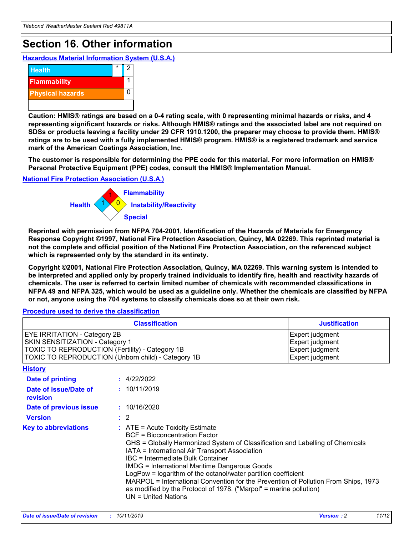## **Section 16. Other information**

**Hazardous Material Information System (U.S.A.)**



**Caution: HMIS® ratings are based on a 0-4 rating scale, with 0 representing minimal hazards or risks, and 4 representing significant hazards or risks. Although HMIS® ratings and the associated label are not required on SDSs or products leaving a facility under 29 CFR 1910.1200, the preparer may choose to provide them. HMIS® ratings are to be used with a fully implemented HMIS® program. HMIS® is a registered trademark and service mark of the American Coatings Association, Inc.**

**The customer is responsible for determining the PPE code for this material. For more information on HMIS® Personal Protective Equipment (PPE) codes, consult the HMIS® Implementation Manual.**

#### **National Fire Protection Association (U.S.A.)**



**Reprinted with permission from NFPA 704-2001, Identification of the Hazards of Materials for Emergency Response Copyright ©1997, National Fire Protection Association, Quincy, MA 02269. This reprinted material is not the complete and official position of the National Fire Protection Association, on the referenced subject which is represented only by the standard in its entirety.**

**Copyright ©2001, National Fire Protection Association, Quincy, MA 02269. This warning system is intended to be interpreted and applied only by properly trained individuals to identify fire, health and reactivity hazards of chemicals. The user is referred to certain limited number of chemicals with recommended classifications in NFPA 49 and NFPA 325, which would be used as a guideline only. Whether the chemicals are classified by NFPA or not, anyone using the 704 systems to classify chemicals does so at their own risk.**

#### **Procedure used to derive the classification**

| <b>Classification</b>                                                                                                                                                                  |                                                                                                                                                                                                                                                                   | <b>Justification</b>                                                                                                                                                                                                                                                                                       |  |
|----------------------------------------------------------------------------------------------------------------------------------------------------------------------------------------|-------------------------------------------------------------------------------------------------------------------------------------------------------------------------------------------------------------------------------------------------------------------|------------------------------------------------------------------------------------------------------------------------------------------------------------------------------------------------------------------------------------------------------------------------------------------------------------|--|
| <b>EYE IRRITATION - Category 2B</b><br>SKIN SENSITIZATION - Category 1<br><b>TOXIC TO REPRODUCTION (Fertility) - Category 1B</b><br>TOXIC TO REPRODUCTION (Unborn child) - Category 1B |                                                                                                                                                                                                                                                                   | Expert judgment<br>Expert judgment<br>Expert judgment<br>Expert judgment                                                                                                                                                                                                                                   |  |
| <b>History</b>                                                                                                                                                                         |                                                                                                                                                                                                                                                                   |                                                                                                                                                                                                                                                                                                            |  |
| Date of printing                                                                                                                                                                       | : 4/22/2022                                                                                                                                                                                                                                                       |                                                                                                                                                                                                                                                                                                            |  |
| Date of issue/Date of<br>revision                                                                                                                                                      | : 10/11/2019                                                                                                                                                                                                                                                      |                                                                                                                                                                                                                                                                                                            |  |
| Date of previous issue                                                                                                                                                                 | : 10/16/2020                                                                                                                                                                                                                                                      |                                                                                                                                                                                                                                                                                                            |  |
| <b>Version</b>                                                                                                                                                                         | $\therefore$ 2                                                                                                                                                                                                                                                    |                                                                                                                                                                                                                                                                                                            |  |
| <b>Key to abbreviations</b>                                                                                                                                                            | $\therefore$ ATE = Acute Toxicity Estimate<br><b>BCF</b> = Bioconcentration Factor<br>IATA = International Air Transport Association<br><b>IBC</b> = Intermediate Bulk Container<br><b>IMDG = International Maritime Dangerous Goods</b><br>$UN = United Nations$ | GHS = Globally Harmonized System of Classification and Labelling of Chemicals<br>LogPow = logarithm of the octanol/water partition coefficient<br>MARPOL = International Convention for the Prevention of Pollution From Ships, 1973<br>as modified by the Protocol of 1978. ("Marpol" = marine pollution) |  |